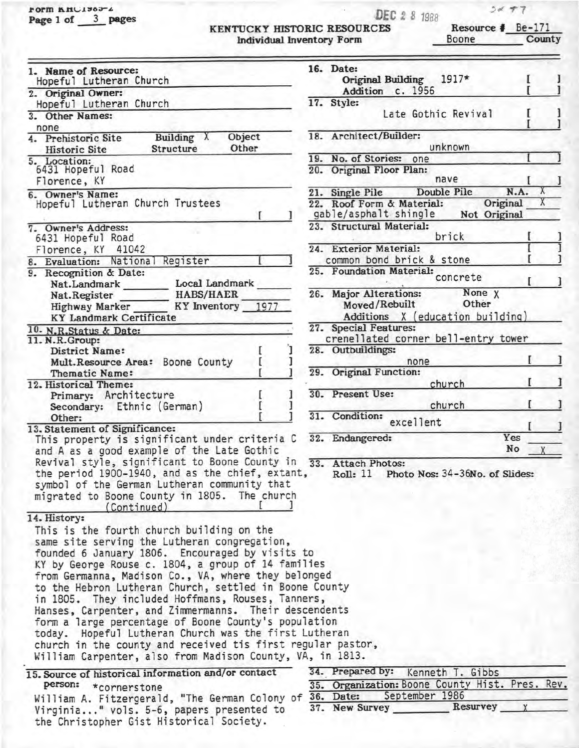Form  $\texttt{All}300-4$  Page 1 of  $\overline{3}$  pages DEC 2 8 1968

KENTUCKY HISTORIC RESOURCES<br>
Individual Inventory Form Boone County

Individual Inventory Form

 $500 + 7$ 

| 1. Name of Resource:<br>Hopeful Lutheran Church                                                                                                                                                                                                                                                    | 16. Date:<br>$1917*$<br><b>Original Building</b><br>Addition c. 1956 |           |
|----------------------------------------------------------------------------------------------------------------------------------------------------------------------------------------------------------------------------------------------------------------------------------------------------|----------------------------------------------------------------------|-----------|
| 2. Original Owner:<br>Hopeful Lutheran Church<br>3. Other Names:                                                                                                                                                                                                                                   | 17. Style:<br>Late Gothic Revival                                    |           |
| none                                                                                                                                                                                                                                                                                               |                                                                      |           |
| Object<br>Building X<br>4. Prehistoric Site<br>Other<br><b>Structure</b><br><b>Historic Site</b>                                                                                                                                                                                                   | 18. Architect/Builder:<br>unknown                                    |           |
| 5. Location:                                                                                                                                                                                                                                                                                       | 19. No. of Stories: one                                              |           |
| 6431 Hopeful Road                                                                                                                                                                                                                                                                                  | 20. Original Floor Plan:                                             |           |
| Florence, KY                                                                                                                                                                                                                                                                                       | nave<br>Double Pile<br>21. Single Pile                               | N.A.      |
| 6. Owner's Name:<br>Hopeful Lutheran Church Trustees                                                                                                                                                                                                                                               | 22. Roof Form & Material:<br>Original                                | x         |
|                                                                                                                                                                                                                                                                                                    | gable/asphalt shingle<br>Not Original                                |           |
| 7. Owner's Address:                                                                                                                                                                                                                                                                                | 23. Structural Material:<br>brick                                    |           |
| 6431 Hopeful Road                                                                                                                                                                                                                                                                                  | 24. Exterior Material:                                               |           |
| Florence, KY 41042<br>8. Evaluation: National Register                                                                                                                                                                                                                                             | common bond brick & stone                                            |           |
| 9. Recognition & Date:                                                                                                                                                                                                                                                                             | 25. Foundation Material:                                             |           |
| Local Landmark<br>Nat.Landmark                                                                                                                                                                                                                                                                     | concrete                                                             |           |
| HABS/HAER<br>Nat.Register                                                                                                                                                                                                                                                                          | 26. Major Alterations:<br>None $x$                                   |           |
| KY Inventory 1977<br><b>Highway Marker</b><br><b>KY Landmark Certificate</b>                                                                                                                                                                                                                       | Other<br>Moved/Rebuilt<br>Additions X (education building)           |           |
| 10. N.R.Status & Date:                                                                                                                                                                                                                                                                             | 27. Special Features:                                                |           |
| 11. N.R.Group:                                                                                                                                                                                                                                                                                     | crenellated corner bell-entry tower                                  |           |
| <b>District Name:</b>                                                                                                                                                                                                                                                                              | 28. Outbuildings:                                                    |           |
| Mult.Resource Area: Boone County                                                                                                                                                                                                                                                                   | none                                                                 |           |
| Thematic Name:                                                                                                                                                                                                                                                                                     | 29. Original Function:                                               |           |
| 12. Historical Theme:                                                                                                                                                                                                                                                                              | church                                                               |           |
| Primary: Architecture                                                                                                                                                                                                                                                                              | 30. Present Use:                                                     |           |
| Secondary: Ethnic (German)<br>Other:                                                                                                                                                                                                                                                               | church<br>31. Condition:                                             |           |
| 13. Statement of Significance:                                                                                                                                                                                                                                                                     | excellent                                                            |           |
| This property is significant under criteria C<br>and A as a good example of the Late Gothic                                                                                                                                                                                                        | 32. Endangered:                                                      | Yes<br>No |
| Revival style, significant to Boone County in<br>the period 1900-1940, and as the chief, extant,<br>symbol of the German Lutheran community that<br>migrated to Boone County in 1805. The church<br>(Continued)                                                                                    | 33. Attach Photos:<br>Roll: 11 Photo Nos: 34-36No. of Slides:        |           |
| 14. History:<br>This is the fourth church building on the<br>same site serving the Lutheran congregation,                                                                                                                                                                                          |                                                                      |           |
| founded 6 January 1806. Encouraged by visits to<br>KY by George Rouse c. 1804, a group of 14 families<br>from Germanna, Madison Co., VA, where they belonged<br>to the Hebron Lutheran Church, settled in Boone County<br>in 1805. They included Hoffmans, Rouses, Tanners,                        |                                                                      |           |
| Hanses, Carpenter, and Zimmermanns. Their descendents<br>form a large percentage of Boone County's population<br>today. Hopeful Lutheran Church was the first Lutheran<br>church in the county and received tis first regular pastor,<br>William Carpenter, also from Madison County, VA, in 1813. |                                                                      |           |
| 15. Source of historical information and/or contact                                                                                                                                                                                                                                                | 34. Prepared by:<br>Kenneth T. Gibbs                                 |           |
| person:<br>*cornerstone                                                                                                                                                                                                                                                                            | 35. Organization: Boone County Hist. Pres. Rev.                      |           |
| William A. Fitzergerald, "The German Colony of 36. Date:                                                                                                                                                                                                                                           | September 1986                                                       |           |
| Virginia" vols. 5-6, papers presented to<br>the Christopher Gist Historical Society.                                                                                                                                                                                                               | Resurvey<br>37. New Survey                                           |           |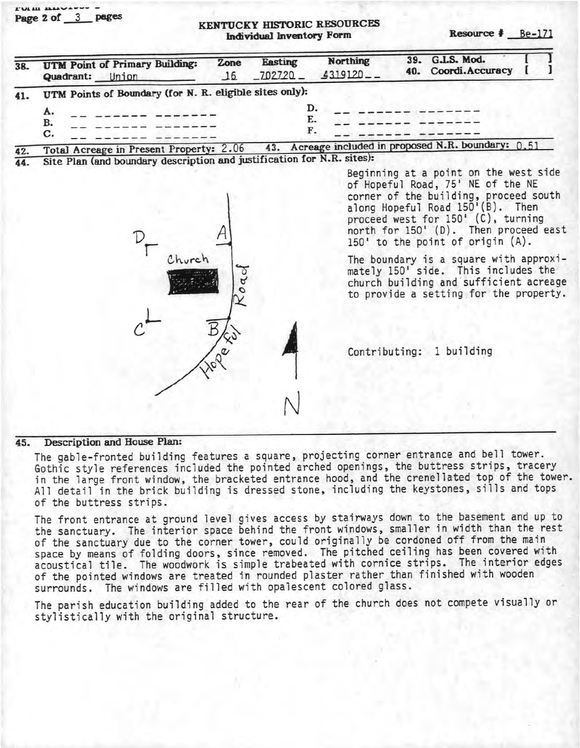Page 2 of 3 pages

#### **Page <sup>2</sup> of <sup>3</sup> pages KENTUCKY HISTORIC RESOURCES Individual Inventory Form Resource # Be-171**

| 38. | UTM Point of Primary Building:<br>Quadrant: Union                      | Zone<br><sup>16</sup> | <b>Easting</b><br>$-702720$ . | <b>Northing</b><br>4319120__ | 39. | G.L.S. Mod.<br>40. Coordi.Accuracy                                         |  |
|-----|------------------------------------------------------------------------|-----------------------|-------------------------------|------------------------------|-----|----------------------------------------------------------------------------|--|
| 41. | UTM Points of Boundary (for N. R. eligible sites only):                |                       |                               |                              |     |                                                                            |  |
|     | А.<br>B.<br>c.                                                         |                       |                               | D.<br>Е.<br>F.               |     |                                                                            |  |
| 42. | Total Acreage in Present Property: 2.06                                |                       |                               |                              |     | 43. Acreage included in proposed N.R. boundary: 0.51                       |  |
| 44. | Site Plan (and boundary description and justification for N.R. sites): |                       |                               |                              |     | Beginning at a point on the west side<br>of Honeful Road, 75' NF of the NF |  |

 $\nu$   $\Delta$ **r 6Kv/rc-W i N** of Hopeful Road, 75' NE of the NE corner of the building, proceed south<br>along Hopeful Poad 150'(R) . Then along Hopeful Road 150'(B). Then proceed west for 150' (C), turning north for 150' (D). Then proceed east<br>150' to the point of origin (A) 150' to the point of origin (A).

The boundary is a square with approxi-<br>mately 150' side. This includes the mately 150' side. This includes the church building and sufficient acreage to provide <sup>a</sup> setting for the property.

**Contributing: <sup>1</sup> building**

### 45. Description and House Plan.

The gable-fronted building features <sup>a</sup> square, projecting corner entrance and bell tower. Gothic style references included the pointed arched openings, the buttress strips, tracery in the large front window, the bracketed entrance hood, and the crenellated top of the tower. All detail in the brick building is dressed stone, including the keystones, sills and tops<br>of the buttress strips. of the buttress strips.

The front entrance at ground level gives access by stairways down to the basement and up to the sanctuary. The interior space behind the front windows, smaller in width than the rest of the sanctuary due to the corner tower, could originally be cordoned off from the main space by means of folding doors, since removed. The pitched ceiling has been covered with acoustical tile. The woodwork is simple trabeated with cornice strips. The interior edges of the pointed windows are treated in rounded plaster rather than finished with wooden surrounds. The windows are filled with opalescent colored glass.

The parish education building added to the rear of the church does not compete visually or stylistically with the original structure.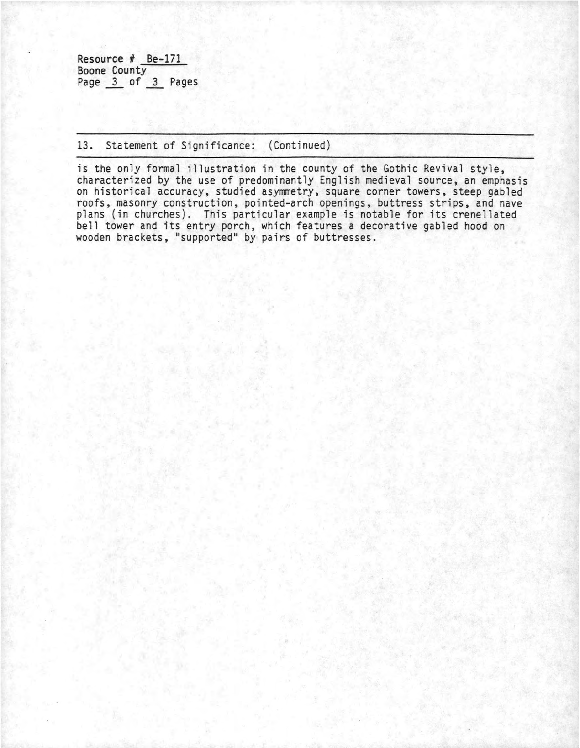**Resource # Be-171 Boone County Page \_3\_ of <sup>3</sup>** Pages

#### 13. Statement of Significance: (Continued)

is the only formal illustration in the county of the Gothic Revival style,<br>characterized by the use of predominantly English medieval source, an emphasis on historical accuracy, studied asymmetry, square corner towers, steep gabled roofs, masonry construction, pointed-arch openings, buttress strips, and nave plans (in churches). This particular example is notable for its crenellated plans (in churches). This particular example is notable for its crenellated<br>bell tower and its entry porch, which features a decorative gabled bood on bell tower and its entry porch, which features a decorative gabled hood on<br>wooden brackets. "supported" by pairs of buttresses. wooden brackets, "supported" by pairs of buttresses.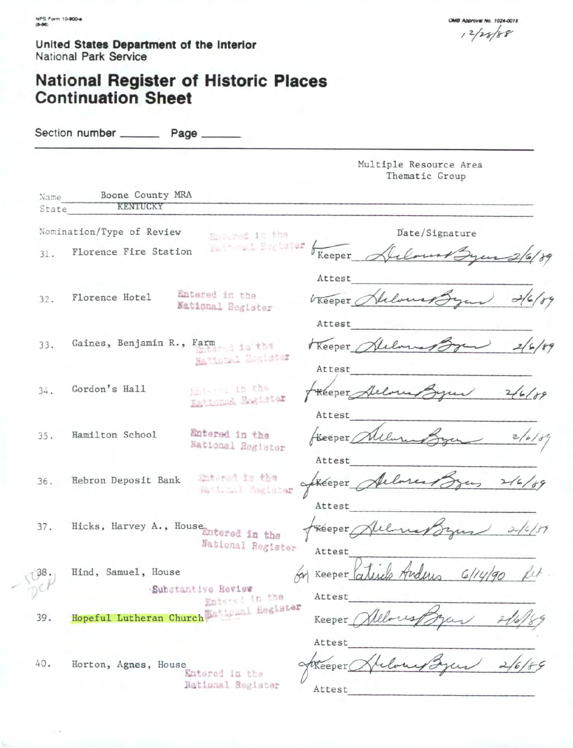NPS Form 10-900-4<br>(8-86)

OMB Approval No. 1024-0018  $12/28/88$ 

United States Department of the Interior<br>National Park Service

## **National Register of Historic Places**<br>Continuation Sheet

Section number \_\_\_\_\_\_\_\_\_\_\_ Page \_\_\_\_\_\_\_

|               |                                           |                                      | Multiple Resource Area<br>Thematic Group       |
|---------------|-------------------------------------------|--------------------------------------|------------------------------------------------|
| Name<br>State | Boone County MRA<br><b>KENTUCKY</b>       |                                      |                                                |
|               | Nomination/Type of Review                 | Empered in the                       | Date/Signature                                 |
| 31.           | Florence Fire Station                     | Mathemat Boglater                    | Keeper                                         |
| 32.           | Florence Hotel                            | Entered in the<br>National Register  | Attest<br>VKeeper                              |
|               |                                           |                                      | Attest                                         |
| 33.           | Gaines, Benjamin R., Farm and in the      | National Bagister                    | Keeper /                                       |
| 34.           | Gordon's Hall                             | Milkroa in the<br>Eational Bogister  | Attest<br><b>Keeper</b><br>26/89               |
|               |                                           |                                      | Attest                                         |
| 35.           | Hamilton School                           | Entered in the<br>National Register  | 2/6/89<br>Keeper                               |
| 36.           | Hebron Deposit Bank                       | Entered in the<br>Wasisal Ragister   | Attest<br>okkeeper                             |
| 37.           | Hicks, Harvey A., House Entered in the    | National Register                    | Attest<br><b>Keeper</b>                        |
| 138.          | Hind, Samuel, House                       |                                      | Attest<br>6114/90<br>for Keeper Caturas Anders |
|               |                                           | Substantive Review<br>Entered in the | Attest                                         |
| 39.           | Hopeful Lutheran Church at ional Register |                                      | Keeper                                         |
|               |                                           |                                      | Attest                                         |
| 40.           | Horton, Agnes, House                      | Entered in the<br>National Register  | VKeeper<br>Attest                              |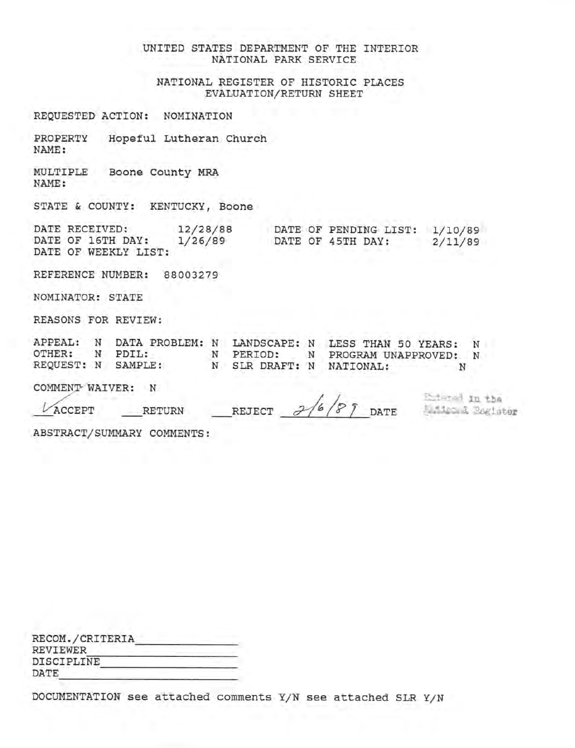#### UNITED STATES DEPARTMENT OF THE INTERIOR NATIONAL PARK SERVICE

NATIONAL REGISTER OF HISTORIC PLACES<br>FUATHATION / PETHON CHEET EVALUATION/RETURN SHEET

REQUESTED ACTION: NOMINATION

NAME. NAME: PROPERTY Hopeful Lutheran Church

MULTIPLE BOONE COUNTY MRA NAME:

STATE & COUNTY: KENTUCKY, Boone

DATE RECEIVED: 12/28/8<br>DATE OF 16TH DAV: 1/36/88 DATE OF 16TH DAY: 1/26/8<br>DATE OF WEEKLY LICT. DATE OF WEEKLY LIST: DATE OF PENDING LIST: 1/10/89<br>DATE OF 45TH DAV: 2/11/89 DATE OF 45TH DAY: 2/11/89

REFERENCE NUMBER: 88003279

NOMINATOR: STATE

REASONS FOR REVIEW:

|                |                    |           | APPEAL: N DATA PROBLEM: N LANDSCAPE: N LESS THAN 50 YEARS: N |  |
|----------------|--------------------|-----------|--------------------------------------------------------------|--|
| OTHER: N PDIL: |                    | N PERIOD: | N PROGRAM UNAPPROVED: N                                      |  |
|                | REQUEST: N SAMPLE: |           | N SLR DRAFT: N NATIONAL:                                     |  |

COMMENT WAIVER: N

| $V$ ACCEPT | <b>RETURN</b> | REJECT $2/6/87$ DATE |  |
|------------|---------------|----------------------|--|
|            |               |                      |  |

Sutered In the Judicia Bogister

ABSTRACT/SUMMARY COMMENTS:

| RECOM./CRITERIA |  |
|-----------------|--|
| REVIEWER        |  |
| DISCIPLINE      |  |
| DATE            |  |
|                 |  |

DOCUMENTATION see attached comments Y/N see attached SLR Y/N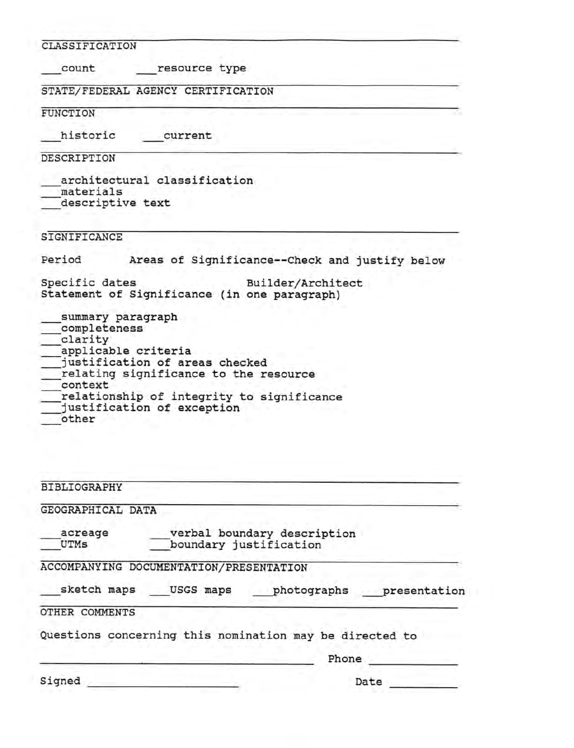#### CLASSIFICATION

count resource type

STATE/FEDERAL AGENCY CERTIFICATION

FUNCTION

historic current

DESCRIPTION

architectural classification materials descriptive text

#### SIGNIFICANCE

Period Areas of Significance—Check and justify below

Specific dates Builder/Architect Statement of Significance (in one paragraph)

summary paragraph \_\_\_completeness \_\_\_clarity \_\_\_applicable criteria \_\_\_justification of areas checked \_\_\_relating significance to the resource \_\_\_context<br>relatio \_\_\_relationship of integrity to significance<br>instification of exception ^^justification of exception other

| <b>BIBLIOGRAPHY</b>                                                      |                          |
|--------------------------------------------------------------------------|--------------------------|
| GEOGRAPHICAL DATA                                                        |                          |
| verbal boundary description<br>acreage<br>boundary justification<br>UTMs |                          |
| ACCOMPANYING DOCUMENTATION/PRESENTATION                                  |                          |
| sketch maps<br>USGS maps                                                 | photographs presentation |
| OTHER COMMENTS                                                           |                          |
| Questions concerning this nomination may be directed to                  |                          |
|                                                                          | Phone                    |
| Signed                                                                   | Date                     |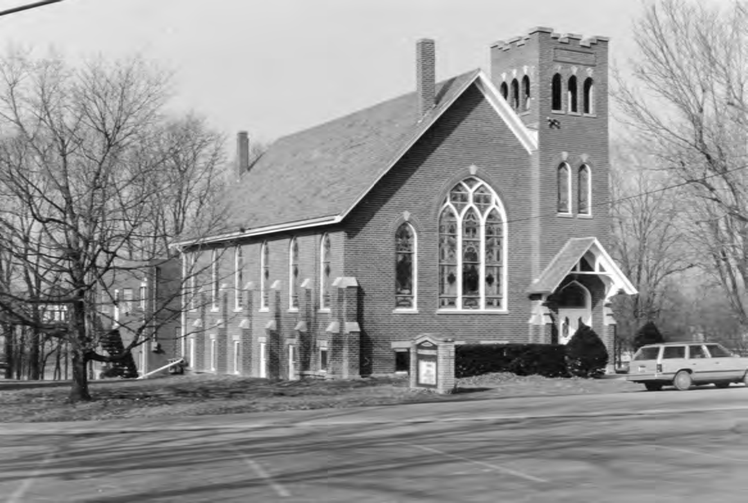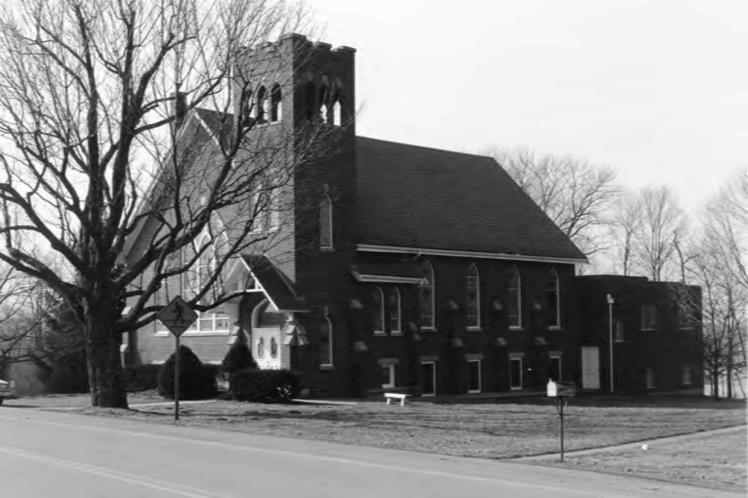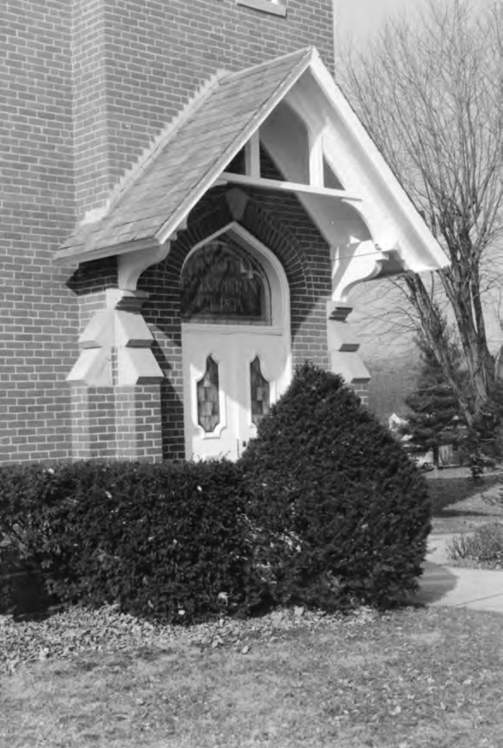